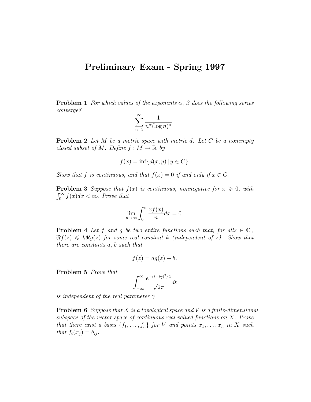## Preliminary Exam - Spring 1997

**Problem 1** For which values of the exponents  $\alpha$ ,  $\beta$  does the following series converge?

$$
\sum_{n=3}^{\infty} \frac{1}{n^{\alpha} (\log n)^{\beta}} \, .
$$

**Problem 2** Let M be a metric space with metric d. Let C be a nonempty closed subset of M. Define  $f : M \to \mathbb{R}$  by

$$
f(x) = \inf \{ d(x, y) \mid y \in C \}.
$$

Show that f is continuous, and that  $f(x) = 0$  if and only if  $x \in C$ .

**Problem 3** Suppose that  $f(x)$  is continuous, nonnegative for  $x \geq 0$ , with  $\int_0^\infty f(x)dx < \infty$ . Prove that

$$
\lim_{n \to \infty} \int_0^n \frac{x f(x)}{n} dx = 0.
$$

**Problem 4** Let f and g be two entire functions such that, for all $z \in \mathbb{C}$ ,  $\Re f(z) \leq k \Re g(z)$  for some real constant k (independent of z). Show that there are constants a, b such that

$$
f(z) = a g(z) + b.
$$

Problem 5 Prove that

$$
\int_{-\infty}^{\infty} \frac{e^{-(t-i\gamma)^2/2}}{\sqrt{2\pi}} dt
$$

is independent of the real parameter  $\gamma$ .

**Problem 6** Suppose that X is a topological space and V is a finite-dimensional subspace of the vector space of continuous real valued functions on X. Prove that there exist a basis  $\{f_1, \ldots, f_n\}$  for V and points  $x_1, \ldots, x_n$  in X such that  $f_i(x_j) = \delta_{ij}$ .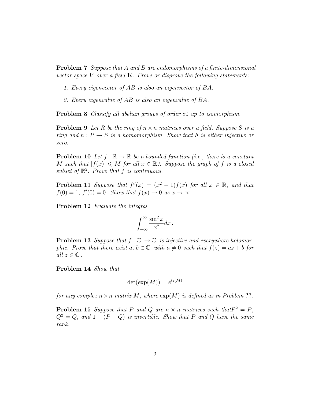Problem 7 Suppose that A and B are endomorphisms of a finite-dimensional vector space V over a field  $K$ . Prove or disprove the following statements:

- 1. Every eigenvector of AB is also an eigenvector of BA.
- 2. Every eigenvalue of AB is also an eigenvalue of BA.

Problem 8 Classify all abelian groups of order 80 up to isomorphism.

**Problem 9** Let R be the ring of  $n \times n$  matrices over a field. Suppose S is a ring and  $h: R \to S$  is a homomorphism. Show that h is either injective or zero.

**Problem 10** Let  $f : \mathbb{R} \to \mathbb{R}$  be a bounded function (i.e., there is a constant M such that  $|f(x)| \leq M$  for all  $x \in \mathbb{R}$ ). Suppose the graph of f is a closed subset of  $\mathbb{R}^2$ . Prove that f is continuous.

**Problem 11** Suppose that  $f''(x) = (x^2 - 1)f(x)$  for all  $x \in \mathbb{R}$ , and that  $f(0) = 1$ ,  $f'(0) = 0$ . Show that  $f(x) \to 0$  as  $x \to \infty$ .

Problem 12 Evaluate the integral

$$
\int_{-\infty}^{\infty} \frac{\sin^2 x}{x^2} dx.
$$

**Problem 13** Suppose that  $f : \mathbb{C} \to \mathbb{C}$  is injective and everywhere holomorphic. Prove that there exist  $a, b \in \mathbb{C}$  with  $a \neq 0$  such that  $f(z) = az + b$  for all  $z \in \mathbb{C}$ .

Problem 14 Show that

$$
\det(\exp(M)) = e^{\text{tr}(M)}
$$

for any complex  $n \times n$  matrix M, where  $\exp(M)$  is defined as in Problem ??.

**Problem 15** Suppose that P and Q are  $n \times n$  matrices such that  $P^2 = P$ ,  $Q^2 = Q$ , and  $1 - (P + Q)$  is invertible. Show that P and Q have the same rank.